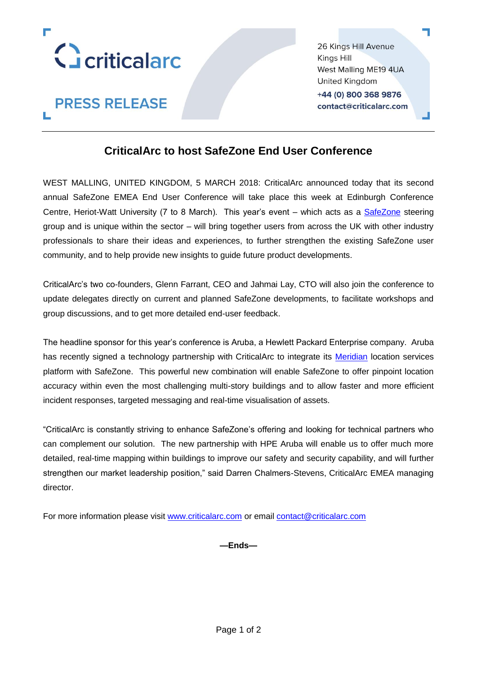

**PRESS RELEASE** 

26 Kings Hill Avenue Kings Hill West Malling ME19 4UA **United Kingdom** +44 (0) 800 368 9876 contact@criticalarc.com

## **CriticalArc to host SafeZone End User Conference**

WEST MALLING, UNITED KINGDOM, 5 MARCH 2018: CriticalArc announced today that its second annual SafeZone EMEA End User Conference will take place this week at Edinburgh Conference Centre, Heriot-Watt University (7 to 8 March). This year's event – which acts as a [SafeZone](http://www.safezoneapp.com/) steering group and is unique within the sector – will bring together users from across the UK with other industry professionals to share their ideas and experiences, to further strengthen the existing SafeZone user community, and to help provide new insights to guide future product developments.

CriticalArc's two co-founders, Glenn Farrant, CEO and Jahmai Lay, CTO will also join the conference to update delegates directly on current and planned SafeZone developments, to facilitate workshops and group discussions, and to get more detailed end-user feedback.

The headline sponsor for this year's conference is Aruba, a Hewlett Packard Enterprise company. Aruba has recently signed a technology partnership with CriticalArc to integrate its [Meridian](http://www.arubanetworks.com/en-gb/products/location-services/app-platform/) location services platform with SafeZone. This powerful new combination will enable SafeZone to offer pinpoint location accuracy within even the most challenging multi-story buildings and to allow faster and more efficient incident responses, targeted messaging and real-time visualisation of assets.

"CriticalArc is constantly striving to enhance SafeZone's offering and looking for technical partners who can complement our solution. The new partnership with HPE Aruba will enable us to offer much more detailed, real-time mapping within buildings to improve our safety and security capability, and will further strengthen our market leadership position," said Darren Chalmers-Stevens, CriticalArc EMEA managing director.

For more information please visit [www.criticalarc.com](http://www.criticalarc.com/) or email [contact@criticalarc.com](mailto:contact@criticalarc.com)

**—Ends—**